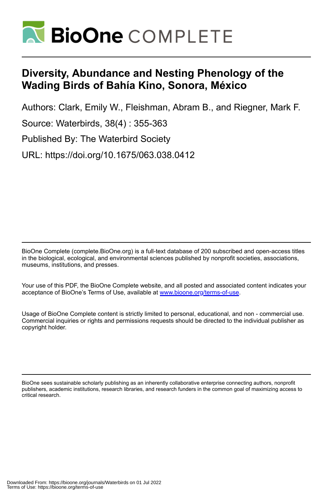

# **Diversity, Abundance and Nesting Phenology of the Wading Birds of Bahía Kino, Sonora, México**

Authors: Clark, Emily W., Fleishman, Abram B., and Riegner, Mark F. Source: Waterbirds, 38(4) : 355-363 Published By: The Waterbird Society URL: https://doi.org/10.1675/063.038.0412

BioOne Complete (complete.BioOne.org) is a full-text database of 200 subscribed and open-access titles in the biological, ecological, and environmental sciences published by nonprofit societies, associations, museums, institutions, and presses.

Your use of this PDF, the BioOne Complete website, and all posted and associated content indicates your acceptance of BioOne's Terms of Use, available at www.bioone.org/terms-of-use.

Usage of BioOne Complete content is strictly limited to personal, educational, and non - commercial use. Commercial inquiries or rights and permissions requests should be directed to the individual publisher as copyright holder.

BioOne sees sustainable scholarly publishing as an inherently collaborative enterprise connecting authors, nonprofit publishers, academic institutions, research libraries, and research funders in the common goal of maximizing access to critical research.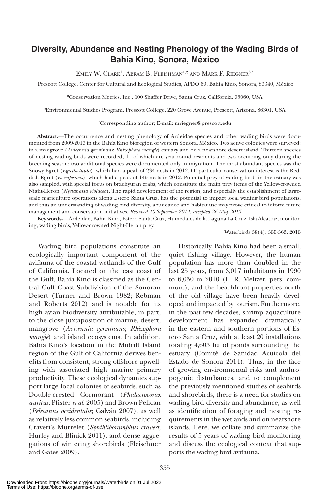# **Diversity, Abundance and Nesting Phenology of the Wading Birds of Bahía Kino, Sonora, México**

EMILY W. CLARK<sup>1</sup>, Abram B. Fleishman<sup>1,2</sup> and Mark F. Riegner<sup>3,\*</sup>

1 Prescott College, Center for Cultural and Ecological Studies, APDO 69, Bahía Kino, Sonora, 83340, México

2 Conservation Metrics, Inc., 100 Shaffer Drive, Santa Cruz, California, 95060, USA

3 Environmental Studies Program, Prescott College, 220 Grove Avenue, Prescott, Arizona, 86301, USA

\* Corresponding author; E-mail: mriegner@prescott.edu

**Abstract.—**The occurrence and nesting phenology of Ardeidae species and other wading birds were documented from 2009-2013 in the Bahía Kino bioregion of western Sonora, México. Two active colonies were surveyed: in a mangrove (*Avicennia germinans*; *Rhizophora mangle*) estuary and on a nearshore desert island. Thirteen species of nesting wading birds were recorded, 11 of which are year-round residents and two occurring only during the breeding season; two additional species were documented only in migration. The most abundant species was the Snowy Egret (*Egretta thula*), which had a peak of 234 nests in 2012. Of particular conservation interest is the Reddish Egret (*E. rufescens*), which had a peak of 149 nests in 2012. Potential prey of wading birds in the estuary was also sampled, with special focus on brachyuran crabs, which constitute the main prey items of the Yellow-crowned Night-Heron (*Nyctanassa violacea*). The rapid development of the region, and especially the establishment of largescale mariculture operations along Estero Santa Cruz, has the potential to impact local wading bird populations, and thus an understanding of wading bird diversity, abundance and habitat use may prove critical to inform future management and conservation initiatives. *Received 10 September 2014, accepted 26 May 2015.*

**Key words.—**Ardeidae, Bahía Kino, Estero Santa Cruz, Humedales de la Laguna La Cruz, Isla Alcatraz, monitoring, wading birds, Yellow-crowned Night-Heron prey.

#### Waterbirds 38(4): 355-363, 2015

Wading bird populations constitute an ecologically important component of the avifauna of the coastal wetlands of the Gulf of California. Located on the east coast of the Gulf, Bahía Kino is classified as the Central Gulf Coast Subdivision of the Sonoran Desert (Turner and Brown 1982; Rebman and Roberts 2012) and is notable for its high avian biodiversity attributable, in part, to the close juxtaposition of marine, desert, mangrove (*Avicennia germinans*; *Rhizophora mangle*) and island ecosystems. In addition, Bahía Kino's location in the Midriff Island region of the Gulf of California derives benefits from consistent, strong offshore upwelling with associated high marine primary productivity. These ecological dynamics support large local colonies of seabirds, such as Double-crested Cormorant (*Phalacrocorax auritus*; Pfister *et al*. 2005) and Brown Pelican (*Pelecanus occidentalis*; Galván 2007), as well as relatively less common seabirds, including Craveri's Murrelet (*Synthliboramphus craveri*; Hurley and Blinick 2011), and dense aggregations of wintering shorebirds (Fleischner and Gates 2009).

Historically, Bahía Kino had been a small, quiet fishing village. However, the human population has more than doubled in the last 25 years, from 3,017 inhabitants in 1990 to 6,050 in 2010 (L. R. Meltzer, pers. commun.), and the beachfront properties north of the old village have been heavily developed and impacted by tourism. Furthermore, in the past few decades, shrimp aquaculture development has expanded dramatically in the eastern and southern portions of Estero Santa Cruz, with at least 20 installations totaling 4,603 ha of ponds surrounding the estuary (Comité de Sanidad Acuicola del Estado de Sonora 2014). Thus, in the face of growing environmental risks and anthropogenic disturbances, and to complement the previously mentioned studies of seabirds and shorebirds, there is a need for studies on wading bird diversity and abundance, as well as identification of foraging and nesting requirements in the wetlands and on nearshore islands. Here, we collate and summarize the results of 5 years of wading bird monitoring and discuss the ecological context that supports the wading bird avifauna.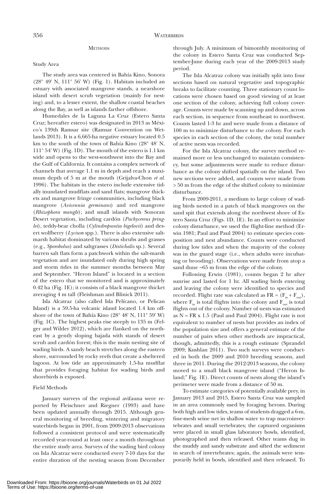# **METHODS**

#### Study Area

The study area was centered in Bahía Kino, Sonora (28° 49' N, 111° 56' W) (Fig. 1). Habitats included an estuary with associated mangrove stands, a nearshore island with desert scrub vegetation (mainly for nesting) and, to a lesser extent, the shallow coastal beaches along the Bay, as well as islands farther offshore.

Humedales de la Laguna La Cruz (Estero Santa Cruz; hereafter estero) was designated in 2013 as México's 139th Ramsar site (Ramsar Convention on Wetlands 2013). It is a 6,665-ha negative estuary located 0.5 km to the south of the town of Bahía Kino (28° 48' N, 111° 54' W) (Fig. 1D). The mouth of the estero is 1.1 km wide and opens to the west-southwest into the Bay and the Gulf of California. It contains a complex network of channels that average 1.1 m in depth and reach a maximum depth of 5 m at the mouth (Grijalva-Chon *et al*. 1996). The habitats in the estero include extensive tidally inundated mudflats and sand flats; mangrove thickets and mangrove fringe communities, including black mangrove (*Avicennia germinans*) and red mangrove (*Rhizophora mangle*); and small islands with Sonoran Desert vegetation, including cardón (*Pachycereus pringlei*), teddy-bear cholla (*Cylindropuntia bigelovii*) and desert wolfberry (*Lycium* spp.). There is also extensive saltmarsh habitat dominated by various shrubs and grasses (e.g., *Sporobolus*) and saltgrasses (*Distichalis* sp.). Several barren salt flats form a patchwork within the salt-marsh vegetation and are inundated only during high spring and storm tides in the summer months between May and September. "Heron Island" is located in a section of the estero that we monitored and is approximately 0.42 ha (Fig. 1E); it consists of a black mangrove thicket averaging 4 m tall (Fleishman and Blinick 2011).

Isla Alcatraz (also called Isla Pelícano, or Pelican Island) is a 59.5-ha volcanic island located 1.4 km offshore of the town of Bahía Kino (28° 48' N, 111° 59' W) (Fig. 1C). The highest peaks rise steeply to 135 m (Felger and Wilder 2012), which are flanked on the northeast by a gently sloping bajada with stands of desert scrub and cardón forest; this is the main nesting site of wading birds. A sandy beach stretches along the eastern shore, surrounded by rocky reefs that create a sheltered lagoon. At low tide an approximately 1.5-ha mudflat that provides foraging habitat for wading birds and shorebirds is exposed.

# Field Methods

January surveys of the regional avifauna were reported by Fleischner and Riegner (1993) and have been updated annually through 2015. Although general monitoring of breeding, wintering and migratory waterbirds began in 2001, from 2009-2013 observations followed a consistent protocol and were systematically recorded year-round at least once a month throughout the entire study area. Surveys of the wading bird colony on Isla Alcatraz were conducted every 7-10 days for the entire duration of the nesting season from December through July. A minimum of bimonthly monitoring of the colony in Estero Santa Cruz was conducted September-June during each year of the 2009-2013 study period.

The Isla Alcatraz colony was initially split into four sections based on natural vegetative and topographic breaks to facilitate counting. Three stationary count locations were chosen based on good viewing of at least one section of the colony, achieving full colony coverage. Counts were made by scanning up and down, across each section, in sequence from southeast to northwest. Counts lasted 1-3 hr and were made from a distance of 100 m to minimize disturbance to the colony. For each species in each section of the colony, the total number of active nests was recorded.

For the Isla Alcatraz colony, the survey method remained more or less unchanged to maintain consistency, but some adjustments were made to reduce disturbance as the colony shifted spatially on the island. Two new sections were added, and counts were made from > 50 m from the edge of the shifted colony to minimize disturbance.

From 2009-2011, a medium to large colony of wading birds nested in a patch of black mangroves on the sand spit that extends along the northwest shore of Estero Santa Cruz (Figs. 1D, 1E). In an effort to minimize colony disturbance, we used the flight-line method (Erwin 1981; Paul and Paul 2004) to estimate species composition and nest abundance. Counts were conducted during low tides and when the majority of the colony was in the guard stage (i.e., when adults were incubating or brooding). Observations were made from atop a sand dune ~65 m from the edge of the colony.

Following Erwin (1981), counts began 2 hr after sunrise and lasted for 1 hr. All wading birds entering and leaving the colony were identified to species and recorded. Flight rate was calculated as  $FR = (F_{in} + F_{out})$ , where  $\mathbf{F}_{in}$  is total flights into the colony and  $\mathbf{F}_{out}$  is total flights out of the colony. Number of nests was estimated as  $N = FR \times 1.5$  (Paul and Paul 2004). Flight rate is not equivalent to number of nests but provides an index of the population size and offers a general estimate of the number of pairs when other methods are impractical, though, admittedly, this is a rough estimate (Sprandel 2009; Kushlan 2011). Two such surveys were conducted in both the 2009 and 2010 breeding seasons, and three in 2011. During the 2012-2013 seasons, the colony moved to a small black mangrove island ("Heron Island;" Fig. 1E). Direct counts of nests along the island's perimeter were made from a distance of 50 m.

To estimate categories of potentially available prey, in January 2013 and 2015, Estero Santa Cruz was sampled in an area commonly used by foraging herons. During both high and low tides, teams of students dragged a 6-m, fine-mesh seine net in shallow water to trap macroinvertebrates and small vertebrates; the captured organisms were placed in small glass laboratory bowls, identified, photographed and then released. Other teams dug in the muddy and sandy substrate and sifted the sediment in search of invertebrates; again, the animals were temporarily held in bowls, identified and then released. To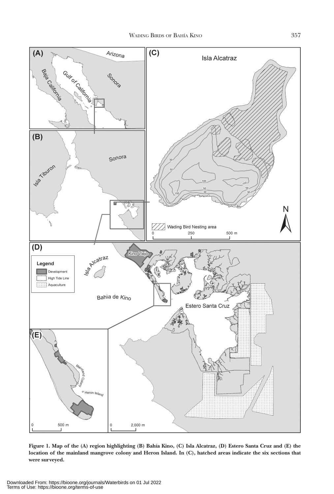

**Figure 1. Map of the (A) region highlighting (B) Bahía Kino, (C) Isla Alcatraz, (D) Estero Santa Cruz and (E) the location of the mainland mangrove colony and Heron Island. In (C), hatched areas indicate the six sections that were surveyed.**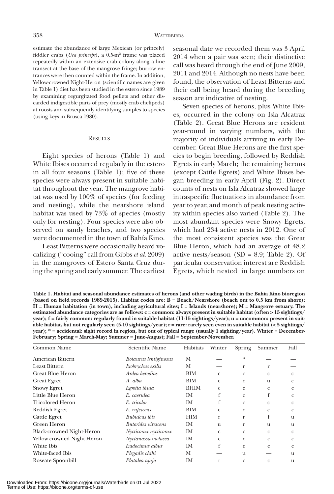estimate the abundance of large Mexican (or princely) fiddler crabs (*Uca princeps*), a 0.5-m2 frame was placed repeatedly within an extensive crab colony along a line transect at the base of the mangrove fringe; burrow entrances were then counted within the frame. In addition, Yellow-crowned Night-Heron (scientific names are given in Table 1) diet has been studied in the estero since 1989 by examining regurgitated food pellets and other discarded indigestible parts of prey (mostly crab chelipeds) at roosts and subsequently identifying samples to species (using keys in Brusca 1980).

# **RESULTS**

Eight species of herons (Table 1) and White Ibises occurred regularly in the estero in all four seasons (Table 1); five of these species were always present in suitable habitat throughout the year. The mangrove habitat was used by 100% of species (for feeding and nesting), while the nearshore island habitat was used by 73% of species (mostly only for nesting). Four species were also observed on sandy beaches, and two species were documented in the town of Bahía Kino.

Least Bitterns were occasionally heard vocalizing ("cooing" call from Gibbs *et al*. 2009) in the mangroves of Estero Santa Cruz during the spring and early summer. The earliest seasonal date we recorded them was 3 April 2014 when a pair was seen; their distinctive call was heard through the end of June 2009, 2011 and 2014. Although no nests have been found, the observation of Least Bitterns and their call being heard during the breeding season are indicative of nesting.

Seven species of herons, plus White Ibises, occurred in the colony on Isla Alcatraz (Table 2). Great Blue Herons are resident year-round in varying numbers, with the majority of individuals arriving in early December. Great Blue Herons are the first species to begin breeding, followed by Reddish Egrets in early March; the remaining herons (except Cattle Egrets) and White Ibises began breeding in early April (Fig. 2). Direct counts of nests on Isla Alcatraz showed large intraspecific fluctuations in abundance from year to year, and month of peak nesting activity within species also varied (Table 2). The most abundant species were Snowy Egrets, which had 234 active nests in 2012. One of the most consistent species was the Great Blue Heron, which had an average of 48.2 active nests/season (SD = 8.9; Table 2). Of particular conservation interest are Reddish Egrets, which nested in large numbers on

**Table 1. Habitat and seasonal abundance estimates of herons (and other wading birds) in the Bahía Kino bioregion (based on field records 1989-2015). Habitat codes are: B = Beach/Nearshore (beach out to 0.5 km from shore); H = Human habitation (in town), including agricultural sites; I = Islands (nearshore); M = Mangrove estuary. The estimated abundance categories are as follows: c = common: always present in suitable habitat (often > 15 sightings/ year); f = fairly common: regularly found in suitable habitat (11-15 sightings/year); u = uncommon: present in suitable habitat, but not regularly seen (5-10 sightings/year); r = rare: rarely seen even in suitable habitat (< 5 sightings/ year); \* = accidental: sight record in region, but out of typical range (usually 1 sighting/year). Winter = December-February; Spring = March-May; Summer = June-August; Fall = September-November.**

| Common Name                      | Scientific Name            | Habitats    | Winter       | Spring       | Summer       | Fall         |
|----------------------------------|----------------------------|-------------|--------------|--------------|--------------|--------------|
| American Bittern                 | Botaurus lentiginosus      | M           |              | *            |              |              |
| <b>Least Bittern</b>             | Ixobrychus exilis          | M           |              | r            | r            |              |
| Great Blue Heron                 | Ardea herodias             | BIM         | $\mathbf{C}$ | $\mathbf{C}$ | $\mathbf{C}$ | C            |
| <b>Great Egret</b>               | A. alba                    | BIM         | $\mathbf{C}$ | C            | u            | C            |
| <b>Snowy Egret</b>               | Egretta thula              | <b>BHIM</b> | $\mathbf{C}$ | C            | $\mathbf{C}$ | C.           |
| Little Blue Heron                | E. caerulea                | IM          | f            | $\mathbf{C}$ | f            | C.           |
| Tricolored Heron                 | E. tricolor                | IM          | f            | $\mathbf{C}$ | $\mathbf{C}$ | c            |
| Reddish Egret                    | E. rufescens               | BIM         | C            | $\mathbf{C}$ | $\mathbf{C}$ | C            |
| Cattle Egret                     | <b>Bubulcus</b> ibis       | <b>HIM</b>  | r            | r            | f            | u            |
| Green Heron                      | <b>Butorides</b> virescens | IM          | u            | r            | u            | u            |
| <b>Black-crowned Night-Heron</b> | Nycticorax nycticorax      | IM          | C            | $\mathbf{C}$ | $\mathbf{C}$ | $\mathbf{C}$ |
| Yellow-crowned Night-Heron       | Nyctanassa violacea        | IM          | C            | $\mathbf{C}$ | $\mathbf{C}$ | C.           |
| White Ibis                       | Eudocimus albus            | IM          | f            | $\mathbf{C}$ | $\mathbf{C}$ | c            |
| White-faced Ibis                 | Plegadis chihi             | М           |              | u            |              | u            |
| Roseate Spoonbill                | Platalea ajaja             | IM          | r            | C            | $\mathbf{C}$ | u            |
|                                  |                            |             |              |              |              |              |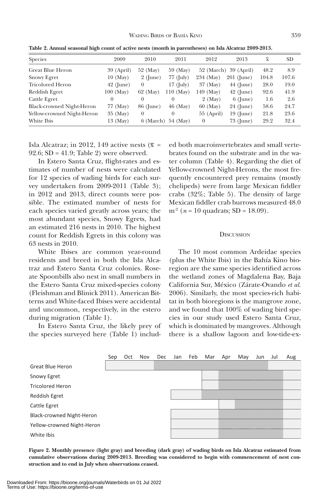| Species                    | 2009         | 2010       | 2011         | 2012              | 2013                  | $\overline{x}$ | <b>SD</b> |
|----------------------------|--------------|------------|--------------|-------------------|-----------------------|----------------|-----------|
| Great Blue Heron           | 39 (April)   | 52 (May)   | 59 (May)     |                   | 52 (March) 39 (April) | 48.2           | 8.9       |
| <b>Snowy Egret</b>         | $10 \ (May)$ | $2$ (June) | $77$ (July)  | 234 (May)         | 201 (June)            | 104.8          | 107.6     |
| <b>Tricolored Heron</b>    | $42$ (June)  | $\theta$   | $17$ (July)  | 37 (May)          | $44$ (June)           | 28.0           | 19.0      |
| Reddish Egret              | $100$ (May)  | 62 (May)   | $110$ (May)  | 149 (May)         | $42$ (June)           | 92.6           | 41.9      |
| Cattle Egret               | $\theta$     | 0          | 0            | $2 \text{ (May)}$ | $6$ (June)            | 1.6            | 2.6       |
| Black-crowned Night-Heron  | 77 (May)     | 86 (June)  | 46 (May)     | 60 (May)          | 24 (June)             | 58.6           | 24.7      |
| Yellow-crowned Night-Heron | 35 (May)     | 0          |              | $55$ (April)      | $19$ (June)           | 21.8           | 23.6      |
| White Ibis                 | 13 (May)     | 6 (March)  | $54 \ (May)$ | $\theta$          | 73 (June)             | 29.2           | 32.4      |

**Table 2. Annual seasonal high count of active nests (month in parentheses) on Isla Alcatraz 2009-2013.**

Isla Alcatraz; in 2012, 149 active nests ( $\bar{x}$  = 92.6; SD = 41.9; Table 2) were observed.

In Estero Santa Cruz, flight-rates and estimates of number of nests were calculated for 12 species of wading birds for each survey undertaken from 2009-2011 (Table 3); in 2012 and 2013, direct counts were possible. The estimated number of nests for each species varied greatly across years; the most abundant species, Snowy Egrets, had an estimated 216 nests in 2010. The highest count for Reddish Egrets in this colony was 63 nests in 2010.

White Ibises are common year-round residents and breed in both the Isla Alcatraz and Estero Santa Cruz colonies. Roseate Spoonbills also nest in small numbers in the Estero Santa Cruz mixed-species colony (Fleishman and Blinick 2011). American Bitterns and White-faced Ibises were accidental and uncommon, respectively, in the estero during migration (Table 1).

In Estero Santa Cruz, the likely prey of the species surveyed here (Table 1) includ-

ed both macroinvertebrates and small vertebrates found on the substrate and in the water column (Table 4). Regarding the diet of Yellow-crowned Night-Herons, the most frequently encountered prey remains (mostly chelipeds) were from large Mexican fiddler crabs (32%; Table 5). The density of large Mexican fiddler crab burrows measured 48.0  $m^2$  (*n* = 10 quadrats; SD = 18.09).

# **D***ISCUSSION*

The 10 most common Ardeidae species (plus the White Ibis) in the Bahía Kino bioregion are the same species identified across the wetland zones of Magdalena Bay, Baja California Sur, México (Zárate-Ovando *et al*. 2006). Similarly, the most species-rich habitat in both bioregions is the mangrove zone, and we found that 100% of wading bird species in our study used Estero Santa Cruz, which is dominated by mangroves. Although there is a shallow lagoon and low-tide-ex-



**Figure 2. Monthly presence (light gray) and breeding (dark gray) of wading birds on Isla Alcatraz estimated from cumulative observations during 2009-2013. Breeding was considered to begin with commencement of nest construction and to end in July when observations ceased.**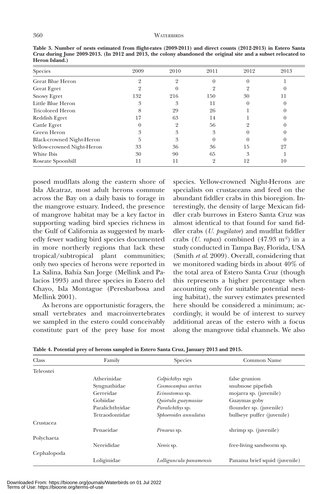### 360 WATERBIRDS

| Species                    | 2009 | 2010 | 2011     | 2012 | 2013 |
|----------------------------|------|------|----------|------|------|
| Great Blue Heron           |      |      |          |      |      |
| <b>Great Egret</b>         |      |      |          |      |      |
| <b>Snowy Egret</b>         | 132  | 216  | 150      | 30   | 11   |
| Little Blue Heron          |      | 3    | 11       |      |      |
| <b>Tricolored Heron</b>    |      | 29   | 26       |      |      |
| Reddish Egret              | 17   | 63   | 14       |      |      |
| Cattle Egret               |      |      | 56       |      |      |
| Green Heron                |      | 3    | 3        |      |      |
| Black-crowned Night-Heron  | h    | 3    | $\theta$ |      |      |
| Yellow-crowned Night-Heron | 33   | 36   | 36       | 15   | 27   |
| White Ibis                 | 30   | 90   | 65       | 3    |      |
| Roseate Spoonbill          |      |      | C)       | 12   | 10   |
|                            |      |      |          |      |      |

**Table 3. Number of nests estimated from flight-rates (2009-2011) and direct counts (2012-2013) in Estero Santa Cruz during June 2009-2013. (In 2012 and 2013, the colony abandoned the original site and a subset relocated to Heron Island.)**

posed mudflats along the eastern shore of Isla Alcatraz, most adult herons commute across the Bay on a daily basis to forage in the mangrove estuary. Indeed, the presence of mangrove habitat may be a key factor in supporting wading bird species richness in the Gulf of California as suggested by markedly fewer wading bird species documented in more northerly regions that lack these tropical/subtropical plant communities; only two species of herons were reported in La Salina, Bahía San Jorge (Mellink and Palacios 1993) and three species in Estero del Chayo, Isla Montague (Peresbarbosa and Mellink 2001).

As herons are opportunistic foragers, the small vertebrates and macroinvertebrates we sampled in the estero could conceivably constitute part of the prey base for most

species. Yellow-crowned Night-Herons are specialists on crustaceans and feed on the abundant fiddler crabs in this bioregion. Interestingly, the density of large Mexican fiddler crab burrows in Estero Santa Cruz was almost identical to that found for sand fiddler crabs (*U. pugilator*) and mudflat fiddler crabs (*U. rapax*) combined  $(47.93 \text{ m}^2)$  in a study conducted in Tampa Bay, Florida, USA (Smith *et al*. 2009). Overall, considering that we monitored wading birds in about 40% of the total area of Estero Santa Cruz (though this represents a higher percentage when accounting only for suitable potential nesting habitat), the survey estimates presented here should be considered a minimum; accordingly, it would be of interest to survey additional areas of the estero with a focus along the mangrove tidal channels. We also

| Class       | Family          | <b>Species</b>          | Common Name                    |
|-------------|-----------------|-------------------------|--------------------------------|
| Teleostei   |                 |                         |                                |
|             | Atherinidae     | Colpichthys regis       | false grunion                  |
|             | Syngnathidae    | Cosmocampus arctus      | snubnose pipefish              |
|             | Gerreidae       | Ecinostomus sp.         | mojarra sp. (juvenile)         |
|             | Gobiidae        | Quietula guaymasiae     | Guaymas goby                   |
|             | Paralichthyidae | <i>Paralichthys sp.</i> | flounder sp. (juvenile)        |
|             | Tetraodontidae  | Sphoeroides annulatus   | bullseye puffer (juvenile)     |
| Crustacea   |                 |                         |                                |
|             | Penaeidae       | Penaeus sp.             | shrimp sp. ( <i>juvenile</i> ) |
| Polychaeta  |                 |                         |                                |
|             | Nereididae      | Nereis sp.              | free-living sandworm sp.       |
| Cephalopoda |                 |                         |                                |
|             | Loliginidae     | Lolliguncula panamensis | Panama brief squid (juvenile)  |

**Table 4. Potential prey of herons sampled in Estero Santa Cruz, January 2013 and 2015.**

Downloaded From: https://bioone.org/journals/Waterbirds on 01 Jul 2022 Terms of Use: https://bioone.org/terms-of-use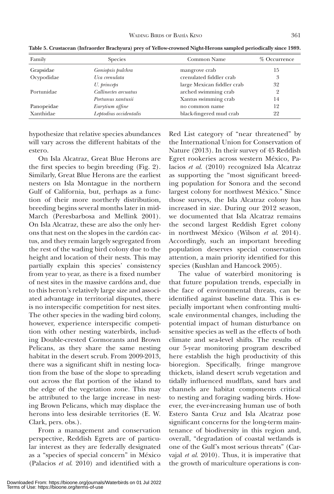| Family     | <b>Species</b>         | Common Name                | % Occurrence   |
|------------|------------------------|----------------------------|----------------|
| Grapsidae  | Goniopsis pulchra      | mangrove crab              | 15             |
| Ocypodidae | Uca crenulata          | crenulated fiddler crab    | 3              |
|            | U. princeps            | large Mexican fiddler crab | 32             |
| Portunidae | Callinectes arcuatus   | arched swimming crab       | $\overline{2}$ |
|            | Portunus xantusii      | Xantus swimming crab       | 14             |
| Panopeidae | Eurytium affine        | no common name             | 12             |
| Xanthidae  | Leptodius occidentalis | black-fingered mud crab    | 22             |

**Table 5. Crustacean (Infraorder Brachyura) prey of Yellow-crowned Night-Herons sampled periodically since 1989.**

hypothesize that relative species abundances will vary across the different habitats of the estero.

On Isla Alcatraz, Great Blue Herons are the first species to begin breeding (Fig. 2). Similarly, Great Blue Herons are the earliest nesters on Isla Montague in the northern Gulf of California, but, perhaps as a function of their more northerly distribution, breeding begins several months later in mid-March (Peresbarbosa and Mellink 2001). On Isla Alcatraz, these are also the only herons that nest on the slopes in the cardón cactus, and they remain largely segregated from the rest of the wading bird colony due to the height and location of their nests. This may partially explain this species' consistency from year to year, as there is a fixed number of nest sites in the massive cardóns and, due to this heron's relatively large size and associated advantage in territorial disputes, there is no interspecific competition for nest sites. The other species in the wading bird colony, however, experience interspecific competition with other nesting waterbirds, including Double-crested Cormorants and Brown Pelicans, as they share the same nesting habitat in the desert scrub. From 2009-2013, there was a significant shift in nesting location from the base of the slope to spreading out across the flat portion of the island to the edge of the vegetation zone. This may be attributed to the large increase in nesting Brown Pelicans, which may displace the herons into less desirable territories (E. W. Clark, pers. obs.).

From a management and conservation perspective, Reddish Egrets are of particular interest as they are federally designated as a "species of special concern" in México (Palacios *et al*. 2010) and identified with a

Red List category of "near threatened" by the International Union for Conservation of Nature (2013). In their survey of 45 Reddish Egret rookeries across western México, Palacios *et al*. (2010) recognized Isla Alcatraz as supporting the "most significant breeding population for Sonora and the second largest colony for northwest México." Since those surveys, the Isla Alcatraz colony has increased in size. During our 2012 season, we documented that Isla Alcatraz remains the second largest Reddish Egret colony in northwest México (Wilson *et al*. 2014). Accordingly, such an important breeding population deserves special conservation attention, a main priority identified for this species (Kushlan and Hancock 2005).

The value of waterbird monitoring is that future population trends, especially in the face of environmental threats, can be identified against baseline data. This is especially important when confronting multiscale environmental changes, including the potential impact of human disturbance on sensitive species as well as the effects of both climate and sea-level shifts. The results of our 5-year monitoring program described here establish the high productivity of this bioregion. Specifically, fringe mangrove thickets, island desert scrub vegetation and tidally influenced mudflats, sand bars and channels are habitat components critical to nesting and foraging wading birds. However, the ever-increasing human use of both Estero Santa Cruz and Isla Alcatraz pose significant concerns for the long-term maintenance of biodiversity in this region and, overall, "degradation of coastal wetlands is one of the Gulf's most serious threats" (Carvajal *et al*. 2010). Thus, it is imperative that the growth of mariculture operations is con-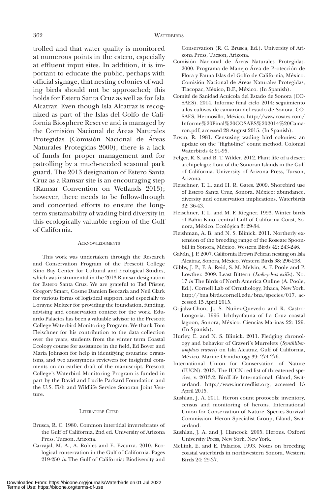trolled and that water quality is monitored at numerous points in the estero, especially at effluent input sites. In addition, it is important to educate the public, perhaps with official signage, that nesting colonies of wading birds should not be approached; this holds for Estero Santa Cruz as well as for Isla Alcatraz. Even though Isla Alcatraz is recognized as part of the Islas del Golfo de California Biosphere Reserve and is managed by the Comisión Nacional de Áreas Naturales Protegidas (Comisión Nacional de Áreas Naturales Protegidas 2000), there is a lack of funds for proper management and for patrolling by a much-needed seasonal park guard. The 2013 designation of Estero Santa Cruz as a Ramsar site is an encouraging step (Ramsar Convention on Wetlands 2013); however, there needs to be follow-through and concerted efforts to ensure the longterm sustainability of wading bird diversity in this ecologically valuable region of the Gulf of California.

#### **ACKNOWLEDGMENTS**

This work was undertaken through the Research and Conservation Program of the Prescott College Kino Bay Center for Cultural and Ecological Studies, which was instrumental in the 2013 Ramsar designation for Estero Santa Cruz. We are grateful to Tad Pfister, Gregory Smart, Cosme Damien Beccaria and Neil Clark for various forms of logistical support, and especially to Lorayne Meltzer for providing the foundation, funding, advising and conservation context for the work. Eduardo Palacios has been a valuable advisor to the Prescott College Waterbird Monitoring Program. We thank Tom Fleischner for his contribution to the data collection over the years, students from the winter term Coastal Ecology course for assistance in the field, Ed Boyer and Maria Johnson for help in identifying estuarine organisms, and two anonymous reviewers for insightful comments on an earlier draft of the manuscript. Prescott College's Waterbird Monitoring Program is funded in part by the David and Lucile Packard Foundation and the U.S. Fish and Wildlife Service Sonoran Joint Venture.

#### LITERATURE CITED

- Brusca, R. C. 1980. Common intertidal invertebrates of the Gulf of California, 2nd ed. University of Arizona Press, Tucson, Arizona.
- Carvajal, M. A., A. Robles and E. Ezcurra. 2010. Ecological conservation in the Gulf of California. Pages 219-250 *in* The Gulf of California: Biodiversity and

Conservation (R. C. Brusca, Ed.). University of Arizona Press, Tucson, Arizona.

- Comisión Nacional de Áreas Naturales Protegidas. 2000. Programa de Manejo Área de Protección de Flora y Fauna Islas del Golfo de California, México. Comisión Nacional de Áreas Naturales Protegidas, Tlacopac, México, D.F., México. (In Spanish).
- Comité de Sanidad Acuicola del Estado de Sonora (CO-SAES). 2014. Informe final ciclo 2014: seguimiento a los cultivos de camarón del estado de Sonora. CO-SAES, Hermosillo, México. http://www.cosaes.com/ Informe%20Final%20COSAES%202014%20Camaron.pdf, accessed 28 August 2015. (In Spanish).
- Erwin, R. 1981. Censusing wading bird colonies: an update on the "flight-line" count method. Colonial Waterbirds 4: 91-95.
- Felger, R. S. and B. T. Wilder. 2012. Plant life of a desert archipelago: flora of the Sonoran Islands in the Gulf of California. University of Arizona Press, Tucson, Arizona.
- Fleischner, T. L. and H. R. Gates. 2009. Shorebird use of Estero Santa Cruz, Sonora, México: abundance, diversity and conservation implications. Waterbirds 32: 36-43.
- Fleischner, T. L. and M. F. Riegner. 1993. Winter birds of Bahía Kino, central Gulf of California Coast, Sonora, México. Ecológica 3: 29-34.
- Fleishman, A. B. and N. S. Blinick. 2011. Northerly extension of the breeding range of the Roseate Spoonbill in Sonora, México. Western Birds 42: 243-246.
- Galván, J. P. 2007. California Brown Pelican nesting on Isla Alcatraz, Sonora, México. Western Birds 38: 296-298.
- Gibbs, J. P., F. A. Reid, S. M. Melvin, A. F. Poole and P. Lowther. 2009. Least Bittern (*Ixobrychus exilis*). No. 17 *in* The Birds of North America Online (A. Poole, Ed.). Cornell Lab of Ornithology, Ithaca, New York. http://bna.birds.cornell.edu/bna/species/017, accessed 15 April 2015.
- Grijalva-Chon, J., S. Nuñez-Quevedo and R. Castro-Longoria. 1996. Ichthyofauna of La Cruz coastal lagoon, Sonora, México. Ciencias Marinas 22: 129. (In Spanish).
- Hurley, E. and N. S. Blinick. 2011. Fledging chronology and behavior of Craveri's Murrelets (*Synthliboramphus craveri*) on Isla Alcatraz, Gulf of California, México. Marine Ornithology 39: 274-276.
- International Union for Conservation of Nature (IUCN). 2013. The IUCN red list of threatened species, v. 2013.2. BirdLife International, Gland, Switzerland. http://www.iucnredlist.org, accessed 15 April 2015.
- Kushlan, J. A. 2011. Heron count protocols: inventory, census and monitoring of herons. International Union for Conservation of Nature–Species Survival Commission, Heron Specialist Group, Gland, Switzerland.
- Kushlan, J. A. and J. Hancock. 2005. Herons. Oxford University Press, New York, New York.
- Mellink, E. and E. Palacios. 1993. Notes on breeding coastal waterbirds in northwestern Sonora. Western Birds 24: 29-37.